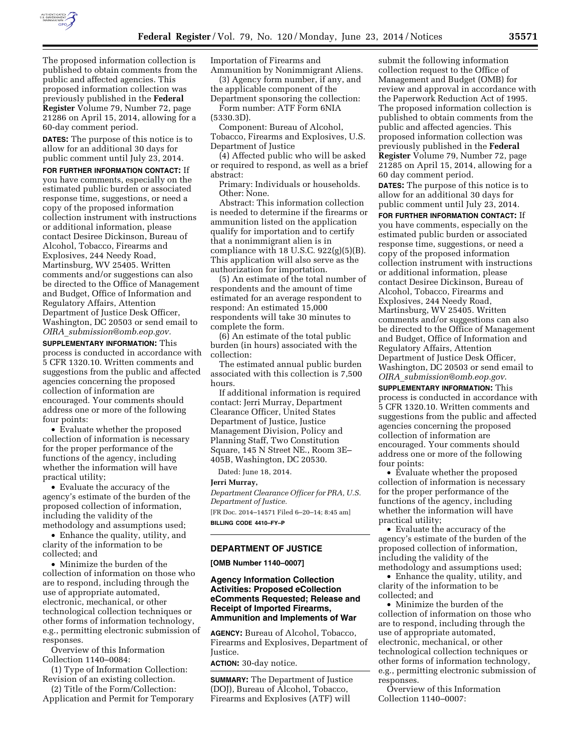

**DATES:** The purpose of this notice is to allow for an additional 30 days for public comment until July 23, 2014.

**FOR FURTHER INFORMATION CONTACT:** If you have comments, especially on the estimated public burden or associated response time, suggestions, or need a copy of the proposed information collection instrument with instructions or additional information, please contact Desiree Dickinson, Bureau of Alcohol, Tobacco, Firearms and Explosives, 244 Needy Road, Martinsburg, WV 25405. Written comments and/or suggestions can also be directed to the Office of Management and Budget, Office of Information and Regulatory Affairs, Attention Department of Justice Desk Officer, Washington, DC 20503 or send email to *OIRA*\_*[submission@omb.eop.gov.](mailto:OIRA_submission@omb.eop.gov)* 

**SUPPLEMENTARY INFORMATION:** This process is conducted in accordance with 5 CFR 1320.10. Written comments and suggestions from the public and affected agencies concerning the proposed collection of information are encouraged. Your comments should address one or more of the following four points:

• Evaluate whether the proposed collection of information is necessary for the proper performance of the functions of the agency, including whether the information will have practical utility;

• Evaluate the accuracy of the agency's estimate of the burden of the proposed collection of information, including the validity of the methodology and assumptions used;

• Enhance the quality, utility, and clarity of the information to be collected; and

• Minimize the burden of the collection of information on those who are to respond, including through the use of appropriate automated, electronic, mechanical, or other technological collection techniques or other forms of information technology, e.g., permitting electronic submission of responses.

Overview of this Information Collection 1140–0084:

(1) Type of Information Collection: Revision of an existing collection.

(2) Title of the Form/Collection: Application and Permit for Temporary Importation of Firearms and

Ammunition by Nonimmigrant Aliens. (3) Agency form number, if any, and the applicable component of the

Department sponsoring the collection: Form number: ATF Form 6NIA (5330.3D).

Component: Bureau of Alcohol, Tobacco, Firearms and Explosives, U.S. Department of Justice

(4) Affected public who will be asked or required to respond, as well as a brief abstract:

Primary: Individuals or households. Other: None.

Abstract: This information collection is needed to determine if the firearms or ammunition listed on the application qualify for importation and to certify that a nonimmigrant alien is in compliance with 18 U.S.C.  $922(g)(5)(B)$ . This application will also serve as the authorization for importation.

(5) An estimate of the total number of respondents and the amount of time estimated for an average respondent to respond: An estimated 15,000 respondents will take 30 minutes to complete the form.

(6) An estimate of the total public burden (in hours) associated with the collection:

The estimated annual public burden associated with this collection is 7,500 hours.

If additional information is required contact: Jerri Murray, Department Clearance Officer, United States Department of Justice, Justice Management Division, Policy and Planning Staff, Two Constitution Square, 145 N Street NE., Room 3E– 405B, Washington, DC 20530.

Dated: June 18, 2014.

**Jerri Murray,**  *Department Clearance Officer for PRA, U.S. Department of Justice.*  [FR Doc. 2014–14571 Filed 6–20–14; 8:45 am]

**BILLING CODE 4410–FY–P** 

## **DEPARTMENT OF JUSTICE**

**[OMB Number 1140–0007]** 

**Agency Information Collection Activities: Proposed eCollection eComments Requested; Release and Receipt of Imported Firearms, Ammunition and Implements of War** 

**AGENCY:** Bureau of Alcohol, Tobacco, Firearms and Explosives, Department of Justice.

**ACTION:** 30-day notice.

**SUMMARY:** The Department of Justice (DOJ), Bureau of Alcohol, Tobacco, Firearms and Explosives (ATF) will

submit the following information collection request to the Office of Management and Budget (OMB) for review and approval in accordance with the Paperwork Reduction Act of 1995. The proposed information collection is published to obtain comments from the public and affected agencies. This proposed information collection was previously published in the **Federal Register** Volume 79, Number 72, page 21285 on April 15, 2014, allowing for a 60 day comment period.

**DATES:** The purpose of this notice is to allow for an additional 30 days for public comment until July 23, 2014.

**FOR FURTHER INFORMATION CONTACT:** If you have comments, especially on the estimated public burden or associated response time, suggestions, or need a copy of the proposed information collection instrument with instructions or additional information, please contact Desiree Dickinson, Bureau of Alcohol, Tobacco, Firearms and Explosives, 244 Needy Road, Martinsburg, WV 25405. Written comments and/or suggestions can also be directed to the Office of Management and Budget, Office of Information and Regulatory Affairs, Attention Department of Justice Desk Officer, Washington, DC 20503 or send email to *OIRA*\_*[submission@omb.eop.gov](mailto:OIRA_submission@omb.eop.gov)*.

**SUPPLEMENTARY INFORMATION:** This process is conducted in accordance with 5 CFR 1320.10. Written comments and suggestions from the public and affected agencies concerning the proposed collection of information are encouraged. Your comments should address one or more of the following four points:

• Evaluate whether the proposed collection of information is necessary for the proper performance of the functions of the agency, including whether the information will have practical utility;

• Evaluate the accuracy of the agency's estimate of the burden of the proposed collection of information, including the validity of the methodology and assumptions used;

• Enhance the quality, utility, and clarity of the information to be collected; and

• Minimize the burden of the collection of information on those who are to respond, including through the use of appropriate automated, electronic, mechanical, or other technological collection techniques or other forms of information technology, e.g., permitting electronic submission of responses.

Overview of this Information Collection 1140–0007: